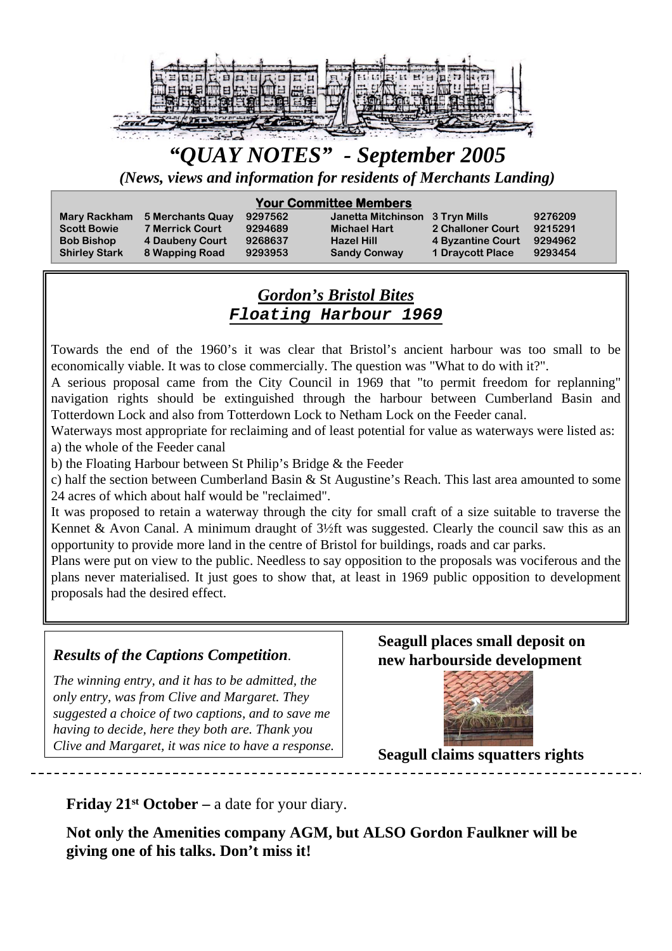

# *"QUAY NOTES" - September 2005*

*(News, views and information for residents of Merchants Landing)*

#### **Your Committee Members**

| <b>Scott Bowie</b>   | <b>7 Merrick Court</b> | 9294689 | <b>Michael Hart</b>             | 2 Challoner Court       | 9215291 |
|----------------------|------------------------|---------|---------------------------------|-------------------------|---------|
| <b>Bob Bishop</b>    | 4 Daubeny Court        | 9268637 | <b>Hazel Hill</b>               | 4 Byzantine Court       | 9294962 |
| <b>Shirley Stark</b> | 8 Wapping Road         | 9293953 | <b>Sandy Conway</b>             | <b>1 Draycott Place</b> | 9293454 |
| <b>Mary Rackham</b>  | 5 Merchants Quay       | 9297562 | Janetta Mitchinson 3 Tryn Mills |                         |         |

### *Gordon's Bristol Bites Floating Harbour 1969*

Towards the end of the 1960's it was clear that Bristol's ancient harbour was too small to be economically viable. It was to close commercially. The question was "What to do with it?".

A serious proposal came from the City Council in 1969 that "to permit freedom for replanning" navigation rights should be extinguished through the harbour between Cumberland Basin and Totterdown Lock and also from Totterdown Lock to Netham Lock on the Feeder canal.

Waterways most appropriate for reclaiming and of least potential for value as waterways were listed as: a) the whole of the Feeder canal

b) the Floating Harbour between St Philip's Bridge & the Feeder

c) half the section between Cumberland Basin & St Augustine's Reach. This last area amounted to some 24 acres of which about half would be "reclaimed".

It was proposed to retain a waterway through the city for small craft of a size suitable to traverse the Kennet & Avon Canal. A minimum draught of 3½ft was suggested. Clearly the council saw this as an opportunity to provide more land in the centre of Bristol for buildings, roads and car parks.

Plans were put on view to the public. Needless to say opposition to the proposals was vociferous and the plans never materialised. It just goes to show that, at least in 1969 public opposition to development proposals had the desired effect.

### *Results of the Captions Competition.*

*The winning entry, and it has to be admitted, the only entry, was from Clive and Margaret. They suggested a choice of two captions, and to save me having to decide, here they both are. Thank you Clive and Margaret, it was nice to have a response.*

## **Seagull places small deposit on new harbourside development**



**Seagull claims squatters rights**

**Friday 21st October –** a date for your diary.

**Not only the Amenities company AGM, but ALSO Gordon Faulkner will be giving one of his talks. Don't miss it!**